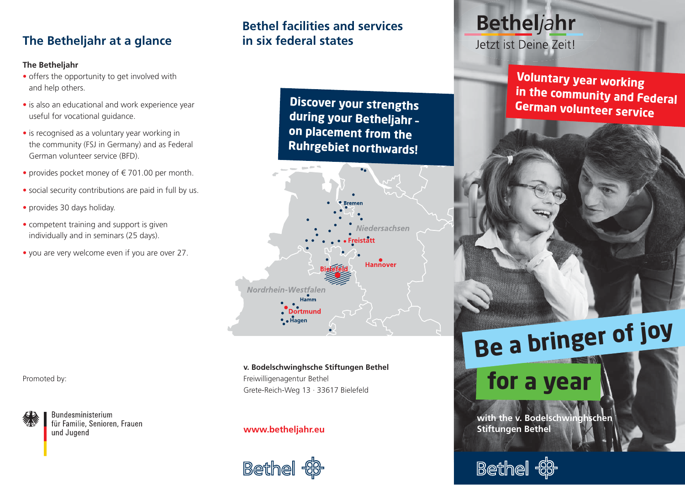# **The Betheljahr at a glance**

#### **The Betheljahr**

- offers the opportunity to get involved withand help others.
- is also an educational and work experience yearuseful for vocational guidance.
- is recognised as a voluntary year working in the community (FSJ in Germany) and as FederalGerman volunteer service (BFD).
- provides pocket money of € 701.00 per month.
- social security contributions are paid in full by us.
- provides 30 days holiday.
- competent training and support is givenindividually and in seminars (25 days).
- you are very welcome even if you are over 27.

**Bethel facilities and services in six federal states**

> **Discover your strengths during your Betheljahr – on placement from the Ruhrgebiet northwards!**



**v. Bodelschwinghsche Stiftungen Bethel** Freiwilligenagentur Bethel Grete-Reich-Weg 13 · 33617 Bielefeld

#### **www.betheljahr.eu**



# **Betheljahr**

Jetzt ist Deine Zeit!

**Voluntary year working in the community and FederalGerman volunteer service**

# **Be a bringer of joy**

# **for a year**

with the v. Bodelschwinghscher **Stiftungen Bethel**



#### Promoted by:



**Bundesministerium** für Familie, Senioren, Frauen und Jugend